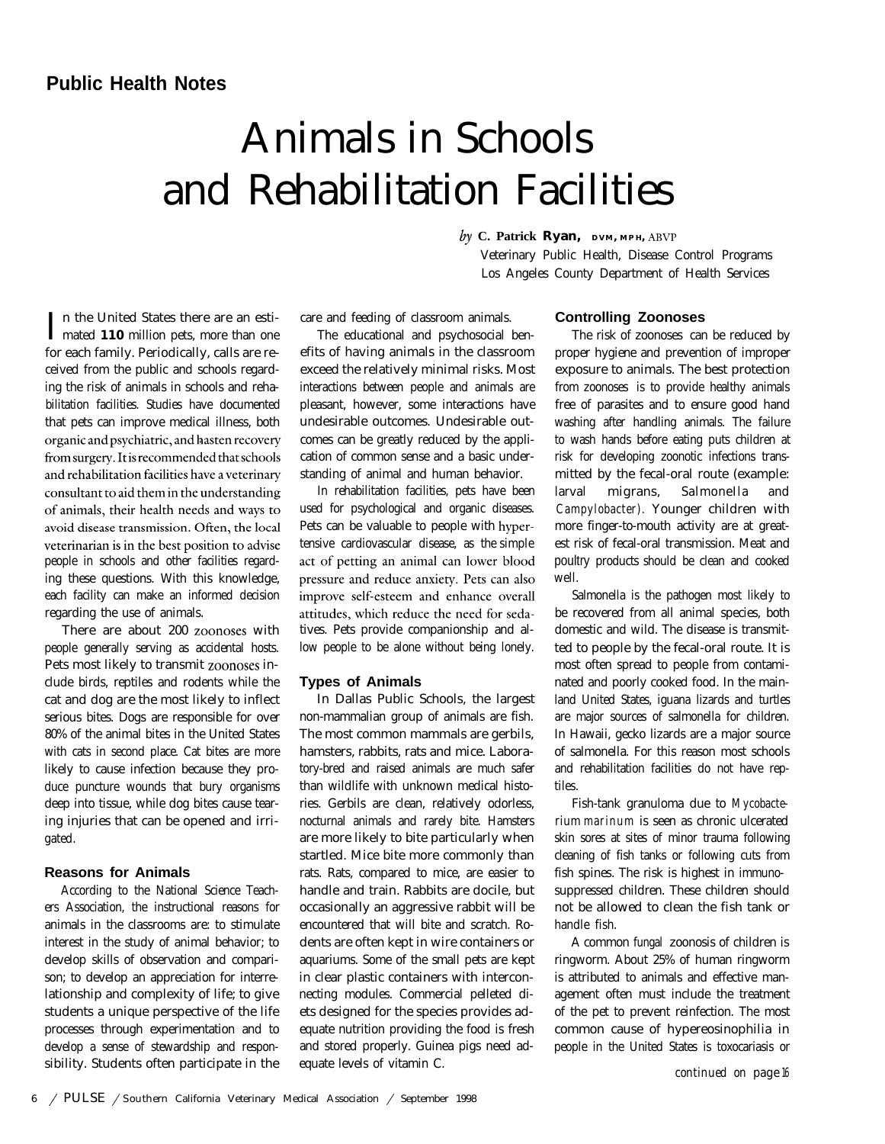# **Public Health Notes**

# Animals in Schools and Rehabilitation Facilities

I n the United States there are an esti-mated **110** million pets, more than one for each family. Periodically, calls are received from the public and schools regarding the risk of animals in schools and rehabilitation facilities. Studies have documented that pets can improve medical illness, both organic and psychiatric, and hasten recovery from surgery. It is recommended that schools and rehabilitation facilities have a veterinary consultant to aid them in the understanding of animals, their health needs and ways to avoid disease transmission. Often, the local veterinarian is in the best position to advise people in schools and other facilities regarding these questions. With this knowledge, each facility can make an informed decision regarding the use of animals.

There are about 200 zoonoses with people generally serving as accidental hosts. Pets most likely to transmit zoonoses include birds, reptiles and rodents while the cat and dog are the most likely to inflect serious bites. Dogs are responsible for over 80% of the animal bites in the United States with cats in second place. Cat bites are more likely to cause infection because they produce puncture wounds that bury organisms deep into tissue, while dog bites cause tearing injuries that can be opened and irrigated.

## **Reasons for Animals**

According to the National Science Teachers Association, the instructional reasons for animals in the classrooms are: to stimulate interest in the study of animal behavior; to develop skills of observation and comparison; to develop an appreciation for interrelationship and complexity of life; to give students a unique perspective of the life processes through experimentation and to develop a sense of stewardship and responsibility. Students often participate in the

care and feeding of classroom animals.

The educational and psychosocial benefits of having animals in the classroom exceed the relatively minimal risks. Most interactions between people and animals are pleasant, however, some interactions have undesirable outcomes. Undesirable outcomes can be greatly reduced by the application of common sense and a basic understanding of animal and human behavior.

In rehabilitation facilities, pets have been used for psychological and organic diseases. Pets can be valuable to people with hypertensive cardiovascular disease, as the simple act of petting an animal can lower blood pressure and reduce anxiety. Pets can also improve self-esteem and enhance overall attitudes, which reduce the need for sedatives. Pets provide companionship and allow people to be alone without being lonely.

#### **Types of Animals**

In Dallas Public Schools, the largest non-mammalian group of animals are fish. The most common mammals are gerbils, hamsters, rabbits, rats and mice. Laboratory-bred and raised animals are much safer than wildlife with unknown medical histories. Gerbils are clean, relatively odorless, nocturnal animals and rarely bite. Hamsters are more likely to bite particularly when startled. Mice bite more commonly than rats. Rats, compared to mice, are easier to handle and train. Rabbits are docile, but occasionally an aggressive rabbit will be encountered that will bite and scratch. Rodents are often kept in wire containers or aquariums. Some of the small pets are kept in clear plastic containers with interconnecting modules. Commercial pelleted diets designed for the species provides adequate nutrition providing the food is fresh and stored properly. Guinea pigs need adequate levels of vitamin C.

#### **Controlling Zoonoses**

Veterinary Public Health, Disease Control Programs Los Angeles County Department of Health Services

 $b\gamma$  **C. Patrick Ryan, DVM, MPH, ABVP** 

The risk of zoonoses can be reduced by proper hygiene and prevention of improper exposure to animals. The best protection from zoonoses is to provide healthy animals free of parasites and to ensure good hand washing after handling animals. The failure to wash hands before eating puts children at risk for developing zoonotic infections transmitted by the fecal-oral route (example: larval migrans, SalmoneIla and *Campylobacter).* Younger children with more finger-to-mouth activity are at greatest risk of fecal-oral transmission. Meat and poultry products should be clean and cooked well.

Salmonella is the pathogen most likely to be recovered from all animal species, both domestic and wild. The disease is transmitted to people by the fecal-oral route. It is most often spread to people from contaminated and poorly cooked food. In the mainland United States, iguana lizards and turtles are major sources of salmonella for children. In Hawaii, gecko lizards are a major source of salmonella. For this reason most schools and rehabilitation facilities do not have reptiles.

Fish-tank granuloma due to *Mycobacterium marinum* is seen as chronic ulcerated skin sores at sites of minor trauma following cleaning of fish tanks or following cuts from fish spines. The risk is highest in immunosuppressed children. These children should not be allowed to clean the fish tank or handle fish.

A common fungal zoonosis of children is ringworm. About 25% of human ringworm is attributed to animals and effective management often must include the treatment of the pet to prevent reinfection. The most common cause of hypereosinophilia in people in the United States is toxocariasis or